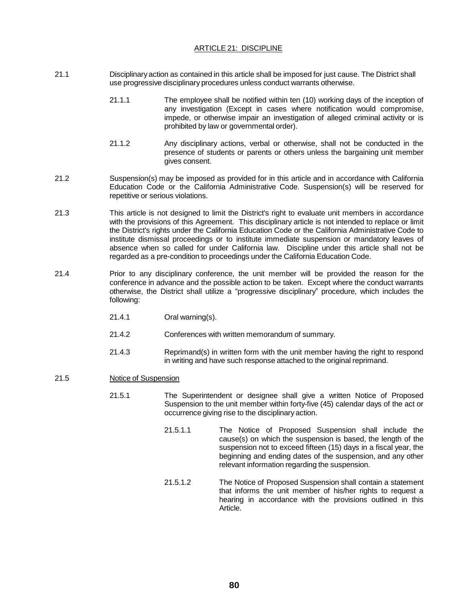## ARTICLE 21: DISCIPLINE

- 21.1 Disciplinary action as contained in this article shall be imposed for just cause. The District shall use progressive disciplinary procedures unless conduct warrants otherwise.
	- 21.1.1 The employee shall be notified within ten (10) working days of the inception of any investigation (Except in cases where notification would compromise, impede, or otherwise impair an investigation of alleged criminal activity or is prohibited by law or governmental order).
	- 21.1.2 Any disciplinary actions, verbal or otherwise, shall not be conducted in the presence of students or parents or others unless the bargaining unit member gives consent.
- 21.2 Suspension(s) may be imposed as provided for in this article and in accordance with California Education Code or the California Administrative Code. Suspension(s) will be reserved for repetitive or serious violations.
- 21.3 This article is not designed to limit the District's right to evaluate unit members in accordance with the provisions of this Agreement. This disciplinary article is not intended to replace or limit the District's rights under the California Education Code or the California Administrative Code to institute dismissal proceedings or to institute immediate suspension or mandatory leaves of absence when so called for under California law. Discipline under this article shall not be regarded as a pre-condition to proceedings under the California Education Code.
- 21.4 Prior to any disciplinary conference, the unit member will be provided the reason for the conference in advance and the possible action to be taken. Except where the conduct warrants otherwise, the District shall utilize a "progressive disciplinary" procedure, which includes the following:
	- 21.4.1 Oral warning(s).
	- 21.4.2 Conferences with written memorandum of summary.
	- 21.4.3 Reprimand(s) in written form with the unit member having the right to respond in writing and have such response attached to the original reprimand.
- 21.5 Notice of Suspension
	- 21.5.1 The Superintendent or designee shall give a written Notice of Proposed Suspension to the unit member within forty-five (45) calendar days of the act or occurrence giving rise to the disciplinary action.
		- 21.5.1.1 The Notice of Proposed Suspension shall include the cause(s) on which the suspension is based, the length of the suspension not to exceed fifteen (15) days in a fiscal year, the beginning and ending dates of the suspension, and any other relevant information regarding the suspension.
		- 21.5.1.2 The Notice of Proposed Suspension shall contain a statement that informs the unit member of his/her rights to request a hearing in accordance with the provisions outlined in this Article.